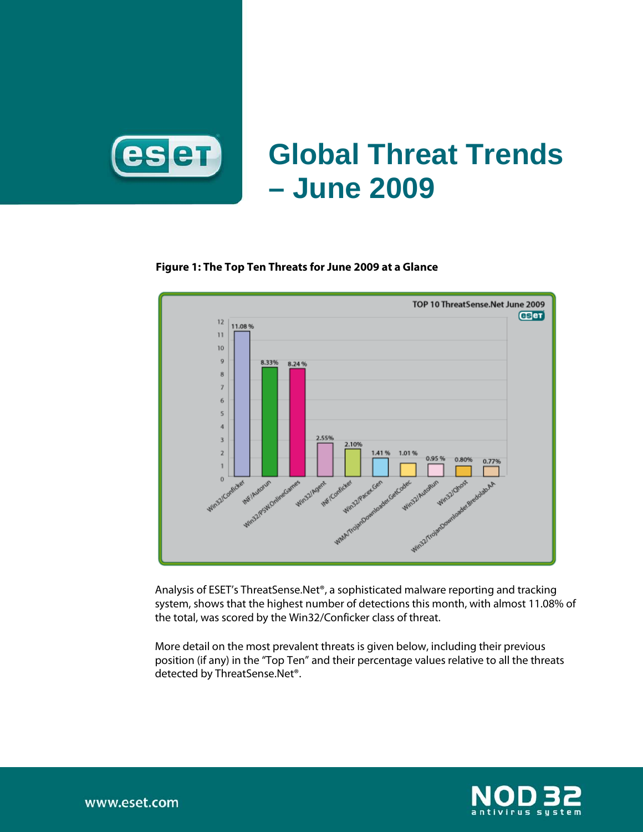

# **Global Threat Trends – June 2009**

#### **Figure 1: The Top Ten Threats for June 2009 at a Glance**



Analysis of ESET's ThreatSense.Net®, a sophisticated malware reporting and tracking system, shows that the highest number of detections this month, with almost 11.08% of the total, was scored by the Win32/Conficker class of threat.

More detail on the most prevalent threats is given below, including their previous position (if any) in the "Top Ten" and their percentage values relative to all the threats detected by ThreatSense.Net®.

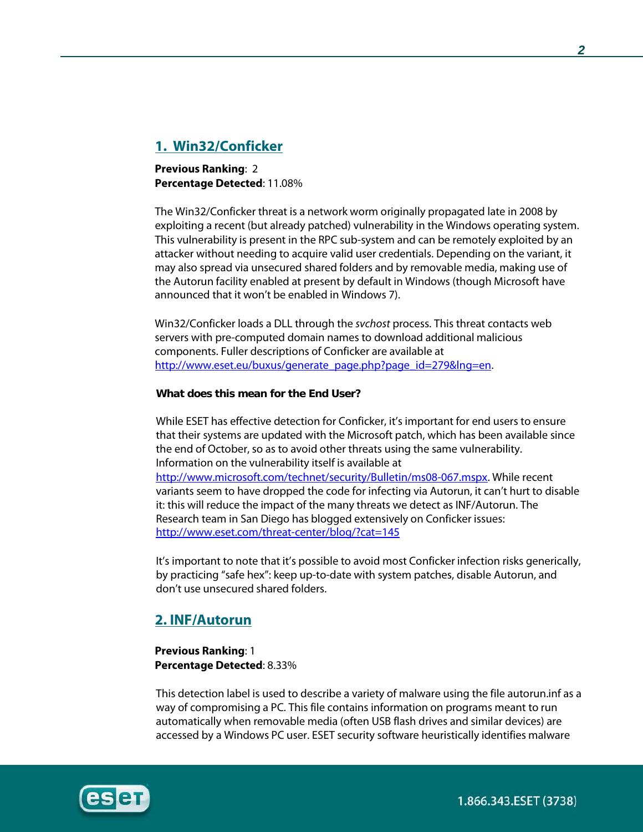# **1. Win32/Conficker**

**Previous Ranking**: 2 **Percentage Detected**: 11.08%

The Win32/Conficker threat is a network worm originally propagated late in 2008 by exploiting a recent (but already patched) vulnerability in the Windows operating system. This vulnerability is present in the RPC sub-system and can be remotely exploited by an attacker without needing to acquire valid user credentials. Depending on the variant, it may also spread via unsecured shared folders and by removable media, making use of the Autorun facility enabled at present by default in Windows (though Microsoft have announced that it won't be enabled in Windows 7).

Win32/Conficker loads a DLL through the *svchost* process. This threat contacts web servers with pre-computed domain names to download additional malicious components. Fuller descriptions of Conficker are available at [http://www.eset.eu/buxus/generate\\_page.php?page\\_id=279&lng=en.](http://www.eset.eu/buxus/generate_page.php?page_id=279&lng=en)

#### **What does this mean for the End User?**

While ESET has effective detection for Conficker, it's important for end users to ensure that their systems are updated with the Microsoft patch, which has been available since the end of October, so as to avoid other threats using the same vulnerability. Information on the vulnerability itself is available at [http://www.microsoft.com/technet/security/Bulletin/ms08-067.mspx.](http://www.microsoft.com/technet/security/Bulletin/ms08-067.mspx) While recent variants seem to have dropped the code for infecting via Autorun, it can't hurt to disable it: this will reduce the impact of the many threats we detect as INF/Autorun. The Research team in San Diego has blogged extensively on Conficker issues: <http://www.eset.com/threat-center/blog/?cat=145>

It's important to note that it's possible to avoid most Conficker infection risks generically, by practicing "safe hex": keep up-to-date with system patches, disable Autorun, and don't use unsecured shared folders.

# **2. INF/Autorun**

**Previous Ranking**: 1 **Percentage Detected**: 8.33%

This detection label is used to describe a variety of malware using the file autorun.inf as a way of compromising a PC. This file contains information on programs meant to run automatically when removable media (often USB flash drives and similar devices) are accessed by a Windows PC user. ESET security software heuristically identifies malware



1.866.343.ESET (3738)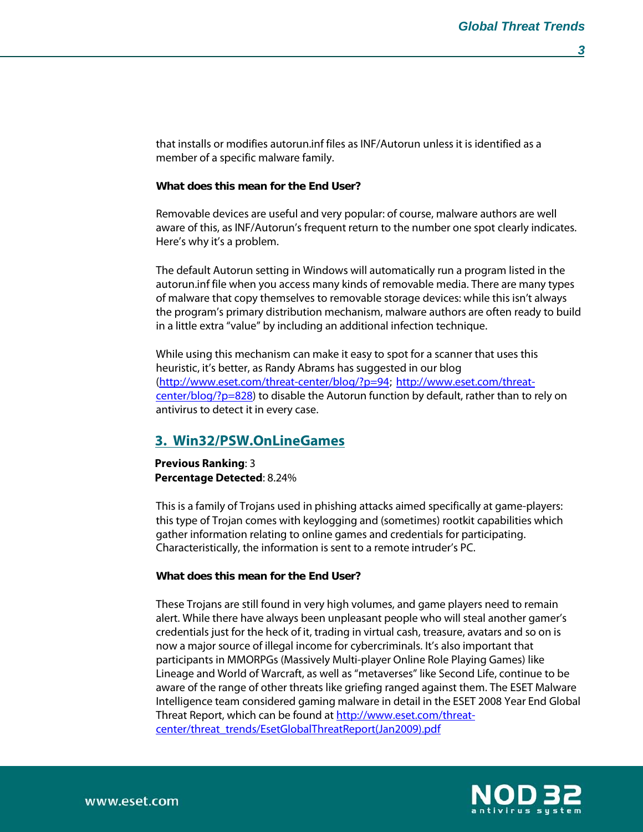that installs or modifies autorun.inf files as INF/Autorun unless it is identified as a member of a specific malware family.

#### **What does this mean for the End User?**

Removable devices are useful and very popular: of course, malware authors are well aware of this, as INF/Autorun's frequent return to the number one spot clearly indicates. Here's why it's a problem.

The default Autorun setting in Windows will automatically run a program listed in the autorun.inf file when you access many kinds of removable media. There are many types of malware that copy themselves to removable storage devices: while this isn't always the program's primary distribution mechanism, malware authors are often ready to build in a little extra "value" by including an additional infection technique.

While using this mechanism can make it easy to spot for a scanner that uses this heuristic, it's better, as Randy Abrams has suggested in our blog [\(http://www.eset.com/threat-center/blog/?p=94](http://www.eset.com/threat-center/blog/?p=94); [http://www.eset.com/threat](http://www.eset.com/threat-center/blog/?p=828) $center/blog/2p=828$ ) to disable the Autorun function by default, rather than to rely on antivirus to detect it in every case.

## **3. Win32/PSW.OnLineGames**

**Previous Ranking**: 3 **Percentage Detected**: 8.24%

This is a family of Trojans used in phishing attacks aimed specifically at game-players: this type of Trojan comes with keylogging and (sometimes) rootkit capabilities which gather information relating to online games and credentials for participating. Characteristically, the information is sent to a remote intruder's PC.

#### **What does this mean for the End User?**

These Trojans are still found in very high volumes, and game players need to remain alert. While there have always been unpleasant people who will steal another gamer's credentials just for the heck of it, trading in virtual cash, treasure, avatars and so on is now a major source of illegal income for cybercriminals. It's also important that participants in MMORPGs (Massively Multi-player Online Role Playing Games) like Lineage and World of Warcraft, as well as "metaverses" like Second Life, continue to be aware of the range of other threats like griefing ranged against them. The ESET Malware Intelligence team considered gaming malware in detail in the ESET 2008 Year End Global Threat Report, which can be found at [http://www.eset.com/threat](http://www.eset.com/threat-center/threat_trends/EsetGlobalThreatReport(Jan2009).pdf)[center/threat\\_trends/EsetGlobalThreatReport\(Jan2009\).pdf](http://www.eset.com/threat-center/threat_trends/EsetGlobalThreatReport(Jan2009).pdf)

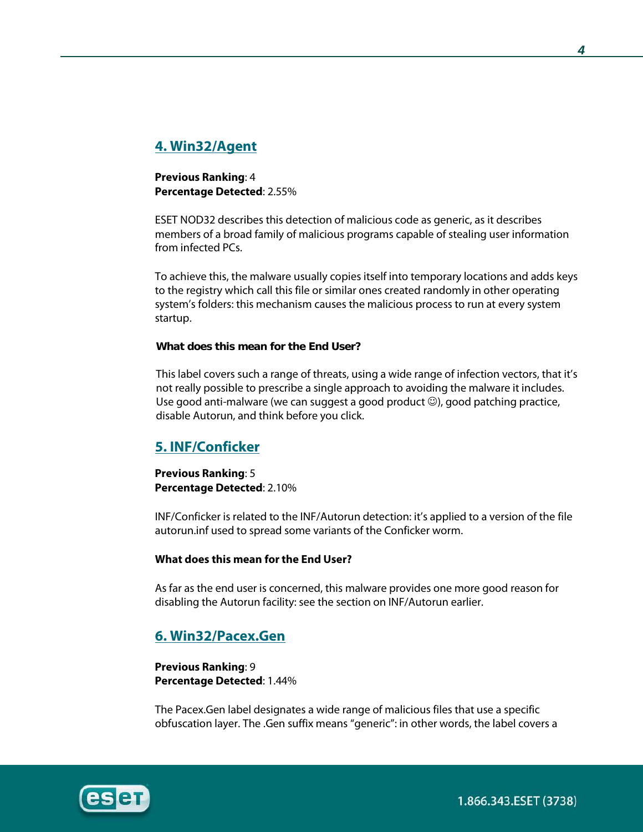# **4. Win32/Agent**

**Previous Ranking**: 4 **Percentage Detected**: 2.55%

ESET NOD32 describes this detection of malicious code as generic, as it describes members of a broad family of malicious programs capable of stealing user information from infected PCs.

To achieve this, the malware usually copies itself into temporary locations and adds keys to the registry which call this file or similar ones created randomly in other operating system's folders: this mechanism causes the malicious process to run at every system startup.

#### **What does this mean for the End User?**

This label covers such a range of threats, using a wide range of infection vectors, that it's not really possible to prescribe a single approach to avoiding the malware it includes. Use good anti-malware (we can suggest a good product  $\circledcirc$ ), good patching practice, disable Autorun, and think before you click.

# **5. INF/Conficker**

**Previous Ranking**: 5 **Percentage Detected**: 2.10%

INF/Conficker is related to the INF/Autorun detection: it's applied to a version of the file autorun.inf used to spread some variants of the Conficker worm.

#### **What does this mean for the End User?**

As far as the end user is concerned, this malware provides one more good reason for disabling the Autorun facility: see the section on INF/Autorun earlier.

## **6. Win32/Pacex.Gen**

**Previous Ranking**: 9 **Percentage Detected**: 1.44%

The Pacex.Gen label designates a wide range of malicious files that use a specific obfuscation layer. The .Gen suffix means "generic": in other words, the label covers a



1.866.343.ESET (3738)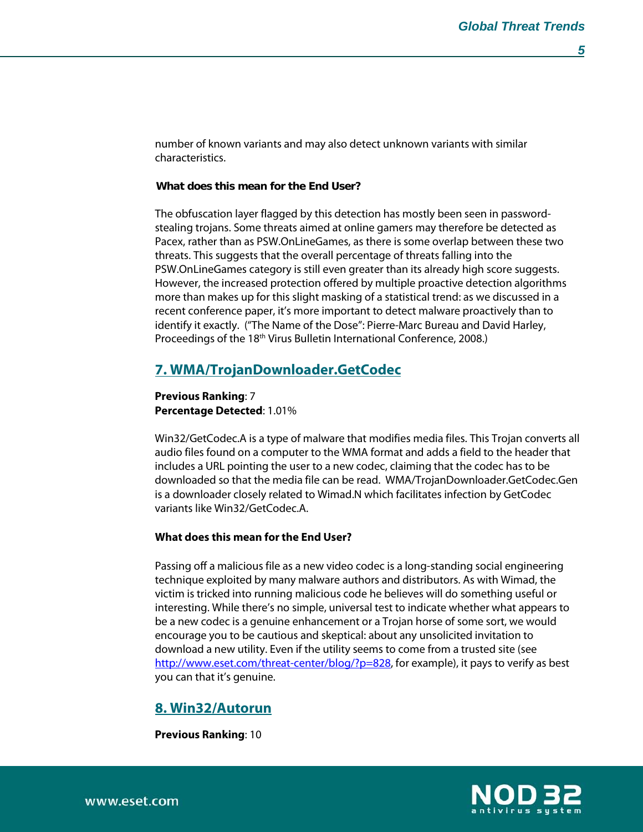number of known variants and may also detect unknown variants with similar characteristics.

#### **What does this mean for the End User?**

The obfuscation layer flagged by this detection has mostly been seen in passwordstealing trojans. Some threats aimed at online gamers may therefore be detected as Pacex, rather than as PSW.OnLineGames, as there is some overlap between these two threats. This suggests that the overall percentage of threats falling into the PSW.OnLineGames category is still even greater than its already high score suggests. However, the increased protection offered by multiple proactive detection algorithms more than makes up for this slight masking of a statistical trend: as we discussed in a recent conference paper, it's more important to detect malware proactively than to identify it exactly. ("The Name of the Dose": Pierre-Marc Bureau and David Harley, Proceedings of the 18<sup>th</sup> Virus Bulletin International Conference, 2008.)

## **7. WMA/TrojanDownloader.GetCodec**

**Previous Ranking**: 7 **Percentage Detected**: 1.01%

Win32/GetCodec.A is a type of malware that modifies media files. This Trojan converts all audio files found on a computer to the WMA format and adds a field to the header that includes a URL pointing the user to a new codec, claiming that the codec has to be downloaded so that the media file can be read. WMA/TrojanDownloader.GetCodec.Gen is a downloader closely related to Wimad.N which facilitates infection by GetCodec variants like Win32/GetCodec.A.

## **What does this mean for the End User?**

Passing off a malicious file as a new video codec is a long-standing social engineering technique exploited by many malware authors and distributors. As with Wimad, the victim is tricked into running malicious code he believes will do something useful or interesting. While there's no simple, universal test to indicate whether what appears to be a new codec is a genuine enhancement or a Trojan horse of some sort, we would encourage you to be cautious and skeptical: about any unsolicited invitation to download a new utility. Even if the utility seems to come from a trusted site (see [http://www.eset.com/threat-center/blog/?p=828,](http://www.eset.com/threat-center/blog/?p=828) for example), it pays to verify as best you can that it's genuine.

## **8. Win32/Autorun**

**Previous Ranking**: 10

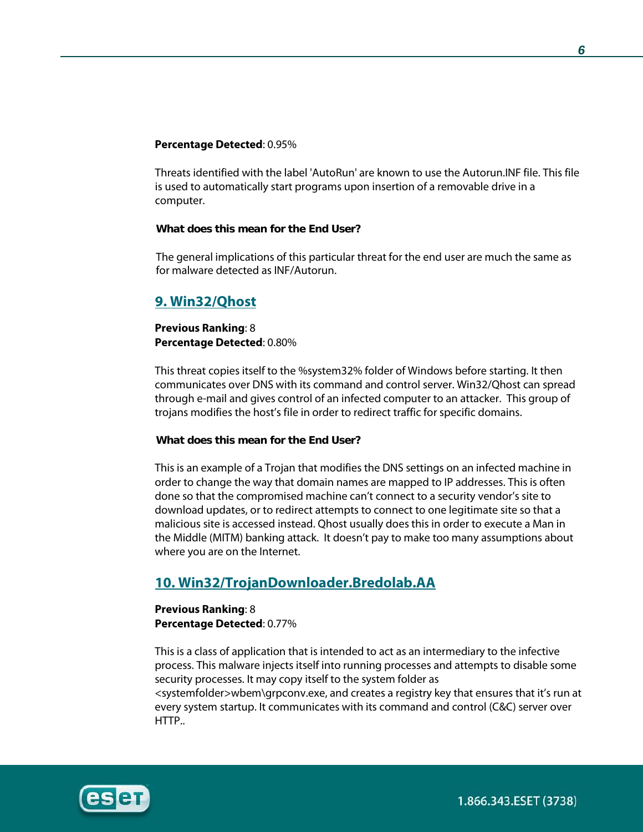#### **Percentage Detected**: 0.95%

Threats identified with the label 'AutoRun' are known to use the Autorun.INF file. This file is used to automatically start programs upon insertion of a removable drive in a computer.

#### **What does this mean for the End User?**

The general implications of this particular threat for the end user are much the same as for malware detected as INF/Autorun.

## **9. Win32/Qhost**

#### **Previous Ranking**: 8 **Percentage Detected**: 0.80%

This threat copies itself to the %system32% folder of Windows before starting. It then communicates over DNS with its command and control server. Win32/Qhost can spread through e-mail and gives control of an infected computer to an attacker. This group of trojans modifies the host's file in order to redirect traffic for specific domains.

#### **What does this mean for the End User?**

This is an example of a Trojan that modifies the DNS settings on an infected machine in order to change the way that domain names are mapped to IP addresses. This is often done so that the compromised machine can't connect to a security vendor's site to download updates, or to redirect attempts to connect to one legitimate site so that a malicious site is accessed instead. Qhost usually does this in order to execute a Man in the Middle (MITM) banking attack. It doesn't pay to make too many assumptions about where you are on the Internet.

## **10. Win32/TrojanDownloader.Bredolab.AA**

#### **Previous Ranking**: 8 **Percentage Detected**: 0.77%

This is a class of application that is intended to act as an intermediary to the infective process. This malware injects itself into running processes and attempts to disable some security processes. It may copy itself to the system folder as <systemfolder>wbem\grpconv.exe, and creates a registry key that ensures that it's run at every system startup. It communicates with its command and control (C&C) server over HTTP..

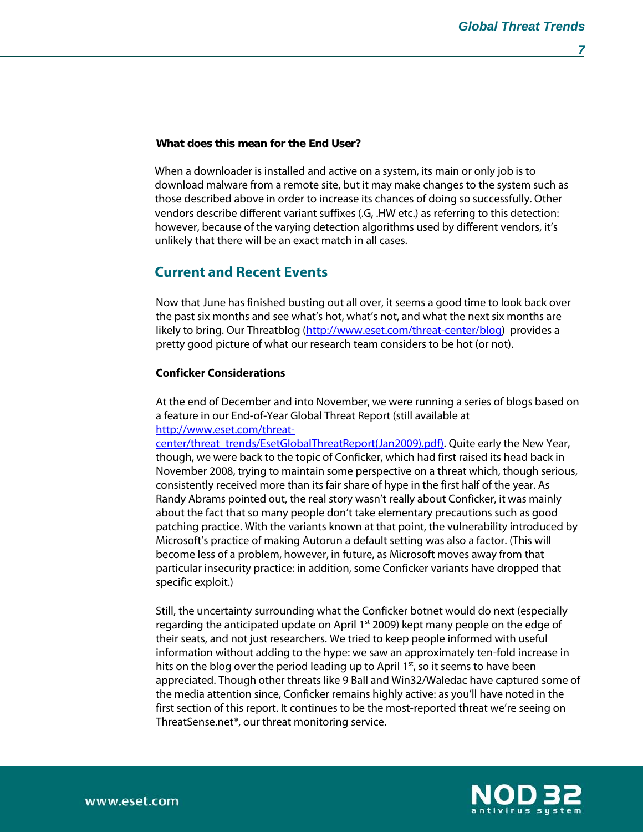## **What does this mean for the End User?**

When a downloader is installed and active on a system, its main or only job is to download malware from a remote site, but it may make changes to the system such as those described above in order to increase its chances of doing so successfully. Other vendors describe different variant suffixes (.G, .HW etc.) as referring to this detection: however, because of the varying detection algorithms used by different vendors, it's unlikely that there will be an exact match in all cases.

# **Current and Recent Events**

Now that June has finished busting out all over, it seems a good time to look back over the past six months and see what's hot, what's not, and what the next six months are likely to bring. Our Threatblog [\(http://www.eset.com/threat-center/blog\)](http://www.eset.com/threat-center/blog) provides a pretty good picture of what our research team considers to be hot (or not).

#### **Conficker Considerations**

At the end of December and into November, we were running a series of blogs based on a feature in our End-of-Year Global Threat Report (still available at [http://www.eset.com/threat-](http://www.eset.com/threat-center/threat_trends/EsetGlobalThreatReport(Jan2009).pdf))

[center/threat\\_trends/EsetGlobalThreatReport\(Jan2009\).pdf\).](http://www.eset.com/threat-center/threat_trends/EsetGlobalThreatReport(Jan2009).pdf)) Quite early the New Year, though, we were back to the topic of Conficker, which had first raised its head back in November 2008, trying to maintain some perspective on a threat which, though serious, consistently received more than its fair share of hype in the first half of the year. As Randy Abrams pointed out, the real story wasn't really about Conficker, it was mainly about the fact that so many people don't take elementary precautions such as good patching practice. With the variants known at that point, the vulnerability introduced by Microsoft's practice of making Autorun a default setting was also a factor. (This will become less of a problem, however, in future, as Microsoft moves away from that particular insecurity practice: in addition, some Conficker variants have dropped that specific exploit.)

Still, the uncertainty surrounding what the Conficker botnet would do next (especially regarding the anticipated update on April  $1<sup>st</sup>$  2009) kept many people on the edge of their seats, and not just researchers. We tried to keep people informed with useful information without adding to the hype: we saw an approximately ten-fold increase in hits on the blog over the period leading up to April  $1<sup>st</sup>$ , so it seems to have been appreciated. Though other threats like 9 Ball and Win32/Waledac have captured some of the media attention since, Conficker remains highly active: as you'll have noted in the first section of this report. It continues to be the most-reported threat we're seeing on ThreatSense.net®, our threat monitoring service.

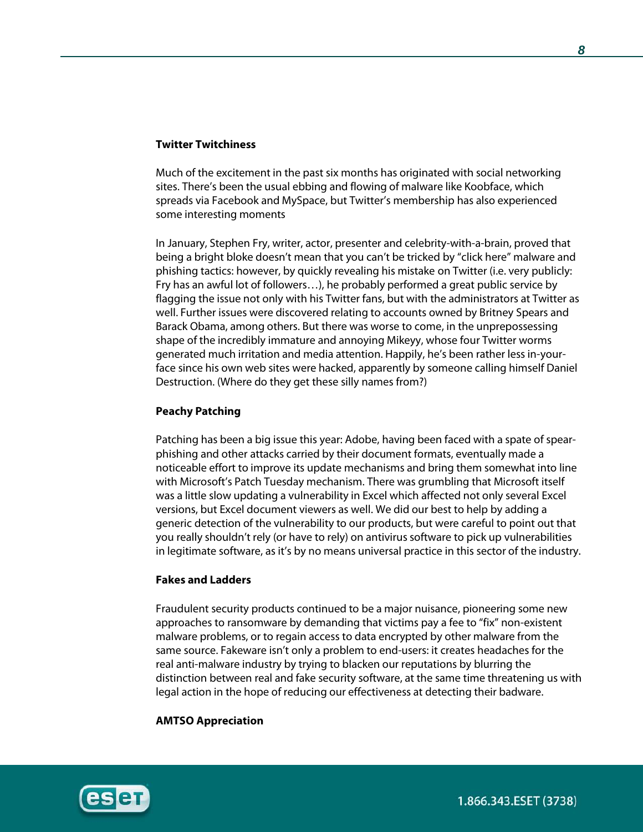#### **Twitter Twitchiness**

Much of the excitement in the past six months has originated with social networking sites. There's been the usual ebbing and flowing of malware like Koobface, which spreads via Facebook and MySpace, but Twitter's membership has also experienced some interesting moments

In January, Stephen Fry, writer, actor, presenter and celebrity-with-a-brain, proved that being a bright bloke doesn't mean that you can't be tricked by "click here" malware and phishing tactics: however, by quickly revealing his mistake on Twitter (i.e. very publicly: Fry has an awful lot of followers…), he probably performed a great public service by flagging the issue not only with his Twitter fans, but with the administrators at Twitter as well. Further issues were discovered relating to accounts owned by Britney Spears and Barack Obama, among others. But there was worse to come, in the unprepossessing shape of the incredibly immature and annoying Mikeyy, whose four Twitter worms generated much irritation and media attention. Happily, he's been rather less in-yourface since his own web sites were hacked, apparently by someone calling himself Daniel Destruction. (Where do they get these silly names from?)

#### **Peachy Patching**

Patching has been a big issue this year: Adobe, having been faced with a spate of spearphishing and other attacks carried by their document formats, eventually made a noticeable effort to improve its update mechanisms and bring them somewhat into line with Microsoft's Patch Tuesday mechanism. There was grumbling that Microsoft itself was a little slow updating a vulnerability in Excel which affected not only several Excel versions, but Excel document viewers as well. We did our best to help by adding a generic detection of the vulnerability to our products, but were careful to point out that you really shouldn't rely (or have to rely) on antivirus software to pick up vulnerabilities in legitimate software, as it's by no means universal practice in this sector of the industry.

## **Fakes and Ladders**

Fraudulent security products continued to be a major nuisance, pioneering some new approaches to ransomware by demanding that victims pay a fee to "fix" non-existent malware problems, or to regain access to data encrypted by other malware from the same source. Fakeware isn't only a problem to end-users: it creates headaches for the real anti-malware industry by trying to blacken our reputations by blurring the distinction between real and fake security software, at the same time threatening us with legal action in the hope of reducing our effectiveness at detecting their badware.

#### **AMTSO Appreciation**



1.866.343.ESET (3738)